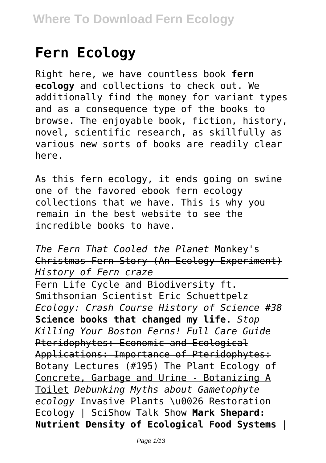# **Fern Ecology**

Right here, we have countless book **fern ecology** and collections to check out. We additionally find the money for variant types and as a consequence type of the books to browse. The enjoyable book, fiction, history, novel, scientific research, as skillfully as various new sorts of books are readily clear here.

As this fern ecology, it ends going on swine one of the favored ebook fern ecology collections that we have. This is why you remain in the best website to see the incredible books to have.

*The Fern That Cooled the Planet* Monkey's Christmas Fern Story (An Ecology Experiment) *History of Fern craze*

Fern Life Cycle and Biodiversity ft. Smithsonian Scientist Eric Schuettpelz *Ecology: Crash Course History of Science #38* **Science books that changed my life.** *Stop Killing Your Boston Ferns! Full Care Guide* Pteridophytes: Economic and Ecological Applications: Importance of Pteridophytes: Botany Lectures (#195) The Plant Ecology of Concrete, Garbage and Urine - Botanizing A Toilet *Debunking Myths about Gametophyte ecology* Invasive Plants \u0026 Restoration Ecology | SciShow Talk Show **Mark Shepard: Nutrient Density of Ecological Food Systems |**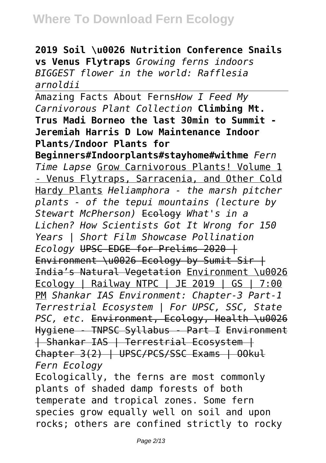**2019 Soil \u0026 Nutrition Conference Snails vs Venus Flytraps** *Growing ferns indoors BIGGEST flower in the world: Rafflesia arnoldii*

Amazing Facts About Ferns*How I Feed My Carnivorous Plant Collection* **Climbing Mt. Trus Madi Borneo the last 30min to Summit - Jeremiah Harris D Low Maintenance Indoor Plants/Indoor Plants for**

**Beginners#Indoorplants#stayhome#withme** *Fern Time Lapse* Grow Carnivorous Plants! Volume 1 - Venus Flytraps, Sarracenia, and Other Cold Hardy Plants *Heliamphora - the marsh pitcher plants - of the tepui mountains (lecture by Stewart McPherson)* Ecology *What's in a Lichen? How Scientists Got It Wrong for 150 Years | Short Film Showcase Pollination Ecology* UPSC EDGE for Prelims 2020 | Environment \u0026 Ecology by Sumit Sir | India's Natural Vegetation Environment \u0026 Ecology | Railway NTPC | JE 2019 | GS | 7:00 PM *Shankar IAS Environment: Chapter-3 Part-1 Terrestrial Ecosystem | For UPSC, SSC, State PSC, etc.* Environment, Ecology, Health \u0026 Hygiene - TNPSC Syllabus - Part I Environment | Shankar IAS | Terrestrial Ecosystem | Chapter 3(2) | UPSC/PCS/SSC Exams | OOkul *Fern Ecology*

Ecologically, the ferns are most commonly plants of shaded damp forests of both temperate and tropical zones. Some fern species grow equally well on soil and upon rocks; others are confined strictly to rocky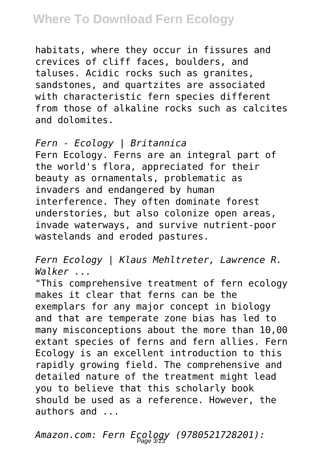habitats, where they occur in fissures and crevices of cliff faces, boulders, and taluses. Acidic rocks such as granites, sandstones, and quartzites are associated with characteristic fern species different from those of alkaline rocks such as calcites and dolomites.

*Fern - Ecology | Britannica* Fern Ecology. Ferns are an integral part of the world's flora, appreciated for their beauty as ornamentals, problematic as invaders and endangered by human interference. They often dominate forest understories, but also colonize open areas, invade waterways, and survive nutrient-poor wastelands and eroded pastures.

*Fern Ecology | Klaus Mehltreter, Lawrence R. Walker ...*

"This comprehensive treatment of fern ecology makes it clear that ferns can be the exemplars for any major concept in biology and that are temperate zone bias has led to many misconceptions about the more than 10,00 extant species of ferns and fern allies. Fern Ecology is an excellent introduction to this rapidly growing field. The comprehensive and detailed nature of the treatment might lead you to believe that this scholarly book should be used as a reference. However, the authors and ...

*Amazon.com: Fern Ecology (9780521728201):* Page 3/13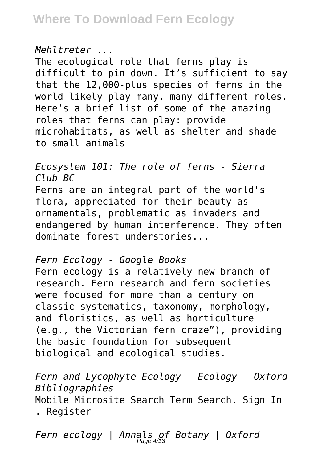#### *Mehltreter ...*

The ecological role that ferns play is difficult to pin down. It's sufficient to say that the 12,000-plus species of ferns in the world likely play many, many different roles. Here's a brief list of some of the amazing roles that ferns can play: provide microhabitats, as well as shelter and shade to small animals

*Ecosystem 101: The role of ferns - Sierra Club BC* Ferns are an integral part of the world's flora, appreciated for their beauty as ornamentals, problematic as invaders and endangered by human interference. They often dominate forest understories...

*Fern Ecology - Google Books*

Fern ecology is a relatively new branch of research. Fern research and fern societies were focused for more than a century on classic systematics, taxonomy, morphology, and floristics, as well as horticulture (e.g., the Victorian fern craze"), providing the basic foundation for subsequent biological and ecological studies.

*Fern and Lycophyte Ecology - Ecology - Oxford Bibliographies* Mobile Microsite Search Term Search. Sign In . Register

*Fern ecology | Annals of Botany | Oxford* Page 4/13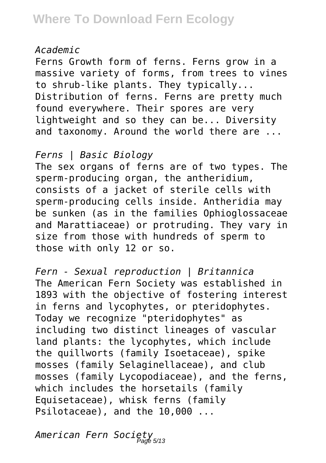#### *Academic*

Ferns Growth form of ferns. Ferns grow in a massive variety of forms, from trees to vines to shrub-like plants. They typically... Distribution of ferns. Ferns are pretty much found everywhere. Their spores are very lightweight and so they can be... Diversity and taxonomy. Around the world there are ...

*Ferns | Basic Biology*

The sex organs of ferns are of two types. The sperm-producing organ, the antheridium, consists of a jacket of sterile cells with sperm-producing cells inside. Antheridia may be sunken (as in the families Ophioglossaceae and Marattiaceae) or protruding. They vary in size from those with hundreds of sperm to those with only 12 or so.

*Fern - Sexual reproduction | Britannica* The American Fern Society was established in 1893 with the objective of fostering interest in ferns and lycophytes, or pteridophytes. Today we recognize "pteridophytes" as including two distinct lineages of vascular land plants: the lycophytes, which include the quillworts (family Isoetaceae), spike mosses (family Selaginellaceae), and club mosses (family Lycopodiaceae), and the ferns, which includes the horsetails (family Equisetaceae), whisk ferns (family Psilotaceae), and the 10,000 ...

*American Fern Society* Page 5/13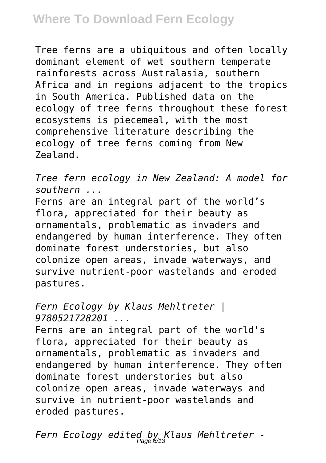Tree ferns are a ubiquitous and often locally dominant element of wet southern temperate rainforests across Australasia, southern Africa and in regions adjacent to the tropics in South America. Published data on the ecology of tree ferns throughout these forest ecosystems is piecemeal, with the most comprehensive literature describing the ecology of tree ferns coming from New Zealand.

*Tree fern ecology in New Zealand: A model for southern ...*

Ferns are an integral part of the world's flora, appreciated for their beauty as ornamentals, problematic as invaders and endangered by human interference. They often dominate forest understories, but also colonize open areas, invade waterways, and survive nutrient-poor wastelands and eroded pastures.

#### *Fern Ecology by Klaus Mehltreter | 9780521728201 ...*

Ferns are an integral part of the world's flora, appreciated for their beauty as ornamentals, problematic as invaders and endangered by human interference. They often dominate forest understories but also colonize open areas, invade waterways and survive in nutrient-poor wastelands and eroded pastures.

*Fern Ecology edited by Klaus Mehltreter -* Page 6/13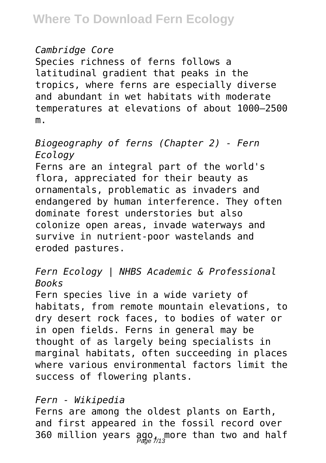#### *Cambridge Core*

Species richness of ferns follows a latitudinal gradient that peaks in the tropics, where ferns are especially diverse and abundant in wet habitats with moderate temperatures at elevations of about 1000–2500 m.

### *Biogeography of ferns (Chapter 2) - Fern Ecology*

Ferns are an integral part of the world's flora, appreciated for their beauty as ornamentals, problematic as invaders and endangered by human interference. They often dominate forest understories but also colonize open areas, invade waterways and survive in nutrient-poor wastelands and eroded pastures.

### *Fern Ecology | NHBS Academic & Professional Books*

Fern species live in a wide variety of habitats, from remote mountain elevations, to dry desert rock faces, to bodies of water or in open fields. Ferns in general may be thought of as largely being specialists in marginal habitats, often succeeding in places where various environmental factors limit the success of flowering plants.

### *Fern - Wikipedia*

Ferns are among the oldest plants on Earth, and first appeared in the fossil record over 360 million years ago, more than two and half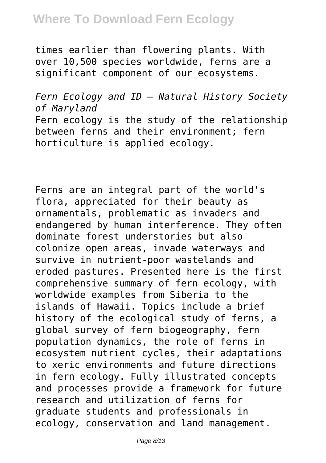times earlier than flowering plants. With over 10,500 species worldwide, ferns are a significant component of our ecosystems.

*Fern Ecology and ID – Natural History Society of Maryland* Fern ecology is the study of the relationship between ferns and their environment; fern horticulture is applied ecology.

Ferns are an integral part of the world's flora, appreciated for their beauty as ornamentals, problematic as invaders and endangered by human interference. They often dominate forest understories but also colonize open areas, invade waterways and survive in nutrient-poor wastelands and eroded pastures. Presented here is the first comprehensive summary of fern ecology, with worldwide examples from Siberia to the islands of Hawaii. Topics include a brief history of the ecological study of ferns, a global survey of fern biogeography, fern population dynamics, the role of ferns in ecosystem nutrient cycles, their adaptations to xeric environments and future directions in fern ecology. Fully illustrated concepts and processes provide a framework for future research and utilization of ferns for graduate students and professionals in ecology, conservation and land management.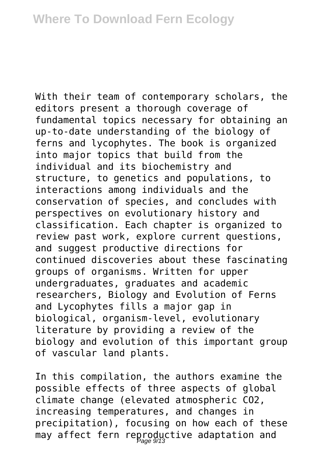With their team of contemporary scholars, the editors present a thorough coverage of fundamental topics necessary for obtaining an up-to-date understanding of the biology of ferns and lycophytes. The book is organized into major topics that build from the individual and its biochemistry and structure, to genetics and populations, to interactions among individuals and the conservation of species, and concludes with perspectives on evolutionary history and classification. Each chapter is organized to review past work, explore current questions, and suggest productive directions for continued discoveries about these fascinating groups of organisms. Written for upper undergraduates, graduates and academic researchers, Biology and Evolution of Ferns and Lycophytes fills a major gap in biological, organism-level, evolutionary literature by providing a review of the biology and evolution of this important group of vascular land plants.

In this compilation, the authors examine the possible effects of three aspects of global climate change (elevated atmospheric CO2, increasing temperatures, and changes in precipitation), focusing on how each of these may affect fern reproductive adaptation and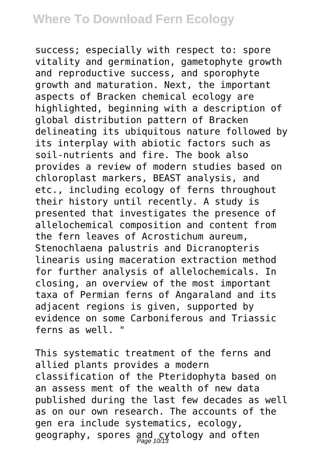success; especially with respect to: spore vitality and germination, gametophyte growth and reproductive success, and sporophyte growth and maturation. Next, the important aspects of Bracken chemical ecology are highlighted, beginning with a description of global distribution pattern of Bracken delineating its ubiquitous nature followed by its interplay with abiotic factors such as soil-nutrients and fire. The book also provides a review of modern studies based on chloroplast markers, BEAST analysis, and etc., including ecology of ferns throughout their history until recently. A study is presented that investigates the presence of allelochemical composition and content from the fern leaves of Acrostichum aureum, Stenochlaena palustris and Dicranopteris linearis using maceration extraction method for further analysis of allelochemicals. In closing, an overview of the most important taxa of Permian ferns of Angaraland and its adiacent regions is given, supported by evidence on some Carboniferous and Triassic ferns as well. "

This systematic treatment of the ferns and allied plants provides a modern classification of the Pteridophyta based on an assess ment of the wealth of new data published during the last few decades as well as on our own research. The accounts of the gen era include systematics, ecology, geography, spores and cytology and often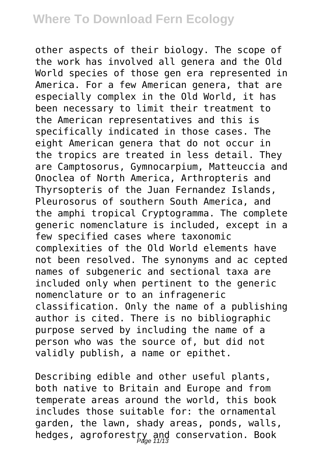other aspects of their biology. The scope of the work has involved all genera and the Old World species of those gen era represented in America. For a few American genera, that are especially complex in the Old World, it has been necessary to limit their treatment to the American representatives and this is specifically indicated in those cases. The eight American genera that do not occur in the tropics are treated in less detail. They are Camptosorus, Gymnocarpium, Matteuccia and Onoclea of North America, Arthropteris and Thyrsopteris of the Juan Fernandez Islands, Pleurosorus of southern South America, and the amphi tropical Cryptogramma. The complete generic nomenclature is included, except in a few specified cases where taxonomic complexities of the Old World elements have not been resolved. The synonyms and ac cepted names of subgeneric and sectional taxa are included only when pertinent to the generic nomenclature or to an infrageneric classification. Only the name of a publishing author is cited. There is no bibliographic purpose served by including the name of a person who was the source of, but did not validly publish, a name or epithet.

Describing edible and other useful plants, both native to Britain and Europe and from temperate areas around the world, this book includes those suitable for: the ornamental garden, the lawn, shady areas, ponds, walls, hedges, agroforestry and conservation. Book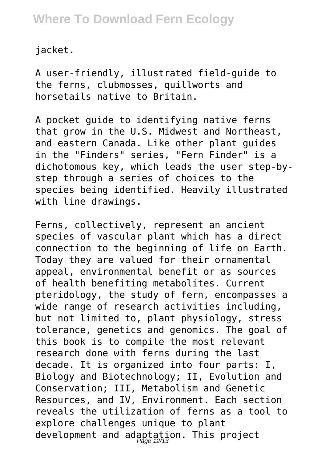jacket.

A user-friendly, illustrated field-guide to the ferns, clubmosses, quillworts and horsetails native to Britain.

A pocket guide to identifying native ferns that grow in the U.S. Midwest and Northeast, and eastern Canada. Like other plant guides in the "Finders" series, "Fern Finder" is a dichotomous key, which leads the user step-bystep through a series of choices to the species being identified. Heavily illustrated with line drawings.

Ferns, collectively, represent an ancient species of vascular plant which has a direct connection to the beginning of life on Earth. Today they are valued for their ornamental appeal, environmental benefit or as sources of health benefiting metabolites. Current pteridology, the study of fern, encompasses a wide range of research activities including, but not limited to, plant physiology, stress tolerance, genetics and genomics. The goal of this book is to compile the most relevant research done with ferns during the last decade. It is organized into four parts: I, Biology and Biotechnology; II, Evolution and Conservation; III, Metabolism and Genetic Resources, and IV, Environment. Each section reveals the utilization of ferns as a tool to explore challenges unique to plant development and adaptation. This project